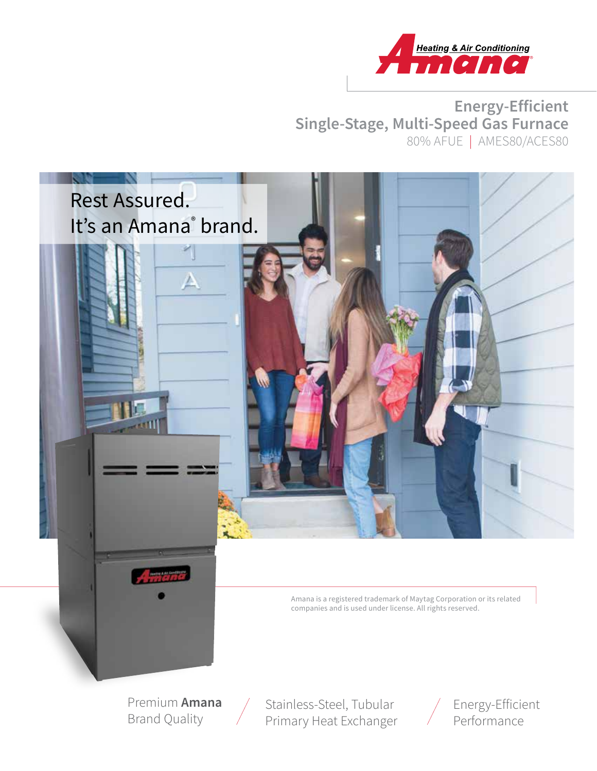

**Energy-Efficient Single-Stage, Multi-Speed Gas Furnace** 80% AFUE | AMES80/ACES80



Premium **Amana** Brand Quality

Stainless-Steel, Tubular Primary Heat Exchanger

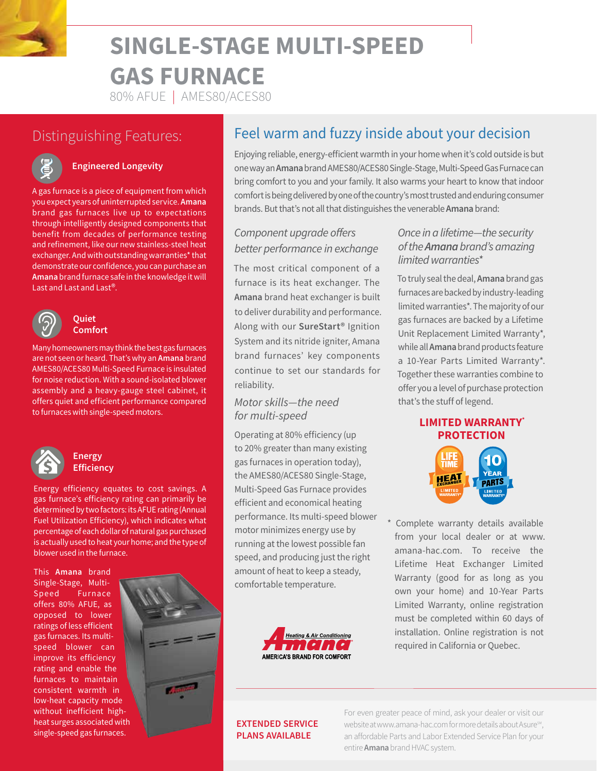

## 80% AFUE | AMES80/ACES80

# Distinguishing Features:



## **Engineered Longevity**

A gas furnace is a piece of equipment from which you expect years of uninterrupted service. **Amana**  brand gas furnaces live up to expectations through intelligently designed components that benefit from decades of performance testing and refinement, like our new stainless-steel heat exchanger. And with outstanding warranties\* that demonstrate our confidence, you can purchase an **Amana** brand furnace safe in the knowledge it will Last and Last and Last®.



#### **Quiet Comfort**

Many homeowners may think the best gas furnaces are not seen or heard. That's why an **Amana** brand AMES80/ACES80 Multi-Speed Furnace is insulated for noise reduction. With a sound-isolated blower assembly and a heavy-gauge steel cabinet, it offers quiet and efficient performance compared to furnaces with single-speed motors.



#### **Energy Efficiency**

Energy efficiency equates to cost savings. A gas furnace's efficiency rating can primarily be determined by two factors: its AFUE rating (Annual Fuel Utilization Efficiency), which indicates what percentage of each dollar of natural gas purchased is actually used to heat your home; and the type of blower used in the furnace.

This **Amana** brand Single-Stage, Multi-Speed Furnace offers 80% AFUE, as opposed to lower ratings of less efficient gas furnaces. Its multispeed blower can improve its efficiency rating and enable the furnaces to maintain consistent warmth in low-heat capacity mode without inefficient highheat surges associated with single-speed gas furnaces.



# Feel warm and fuzzy inside about your decision

Enjoying reliable, energy-efficient warmth in your home when it's cold outside is but one way an **Amana** brand AMES80/ACES80 Single-Stage, Multi-Speed Gas Furnace can bring comfort to you and your family. It also warms your heart to know that indoor comfort is being delivered by one of the country's most trusted and enduring consumer brands. But that's not all that distinguishes the venerable **Amana** brand:

## *Component upgrade offers better performance in exchange*

The most critical component of a furnace is its heat exchanger. The **Amana** brand heat exchanger is built to deliver durability and performance. Along with our **SureStart®** Ignition System and its nitride igniter, Amana brand furnaces' key components continue to set our standards for reliability.

### *Motor skills—the need for multi-speed*

Operating at 80% efficiency (up to 20% greater than many existing gas furnaces in operation today), the AMES80/ACES80 Single-Stage, Multi-Speed Gas Furnace provides efficient and economical heating performance. Its multi-speed blower motor minimizes energy use by running at the lowest possible fan speed, and producing just the right amount of heat to keep a steady, comfortable temperature.



## *Once in a lifetime—the security of the Amana brand's amazing limited warranties\**

To truly seal the deal, **Amana** brand gas furnaces are backed by industry-leading limited warranties\*. The majority of our gas furnaces are backed by a Lifetime Unit Replacement Limited Warranty\*, while all **Amana** brand products feature a 10-Year Parts Limited Warranty\*. Together these warranties combine to offer you a level of purchase protection that's the stuff of legend.

### **LIMITED WARRANTY\* PROTECTION**



Complete warranty details available from your local dealer or at www. amana-hac.com. To receive the Lifetime Heat Exchanger Limited Warranty (good for as long as you own your home) and 10-Year Parts Limited Warranty, online registration must be completed within 60 days of installation. Online registration is not required in California or Quebec.

#### **EXTENDED SERVICE PLANS AVAILABLE**

For even greater peace of mind, ask your dealer or visit our website at www.amana-hac.com for more details about Asure<sup>sM</sup>, an affordable Parts and Labor Extended Service Plan for your entire **Amana** brand HVAC system.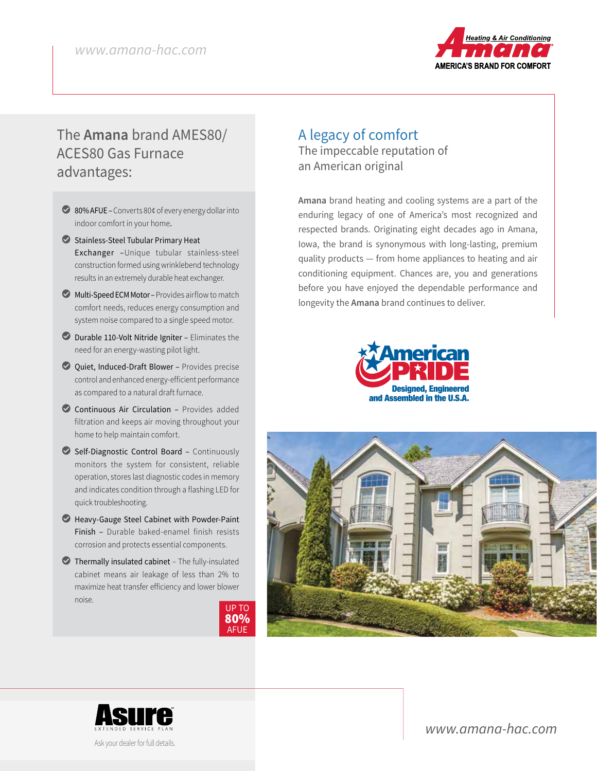

# The **Amana** brand AMES80/ ACES80 Gas Furnace advantages:

- ◯ 80% AFUE Converts 80¢ of every energy dollar into indoor comfort in your home.
- Stainless-Steel Tubular Primary Heat Exchanger –Unique tubular stainless-steel construction formed using wrinklebend technology results in an extremely durable heat exchanger.
- $\bullet$  Multi-Speed ECM Motor Provides airflow to match comfort needs, reduces energy consumption and system noise compared to a single speed motor.
- LDurable 110-Volt Nitride Igniter Eliminates the need for an energy-wasting pilot light.
- LQuiet, Induced-Draft Blower Provides precise control and enhanced energy-efficient performance as compared to a natural draft furnace.
- Continuous Air Circulation Provides added filtration and keeps air moving throughout your home to help maintain comfort.
- LSelf-Diagnostic Control Board Continuously monitors the system for consistent, reliable operation, stores last diagnostic codes in memory and indicates condition through a flashing LED for quick troubleshooting.
- LHeavy-Gauge Steel Cabinet with Powder-Paint Finish – Durable baked-enamel finish resists corrosion and protects essential components.
- $\bullet$  Thermally insulated cabinet The fully-insulated cabinet means air leakage of less than 2% to maximize heat transfer efficiency and lower blower noise.



## A legacy of comfort The impeccable reputation of an American original

**Amana** brand heating and cooling systems are a part of the enduring legacy of one of America's most recognized and respected brands. Originating eight decades ago in Amana, Iowa, the brand is synonymous with long-lasting, premium quality products — from home appliances to heating and air conditioning equipment. Chances are, you and generations before you have enjoyed the dependable performance and longevity the **Amana** brand continues to deliver.







Ask your dealer for full details.

*www.amana-hac.com*